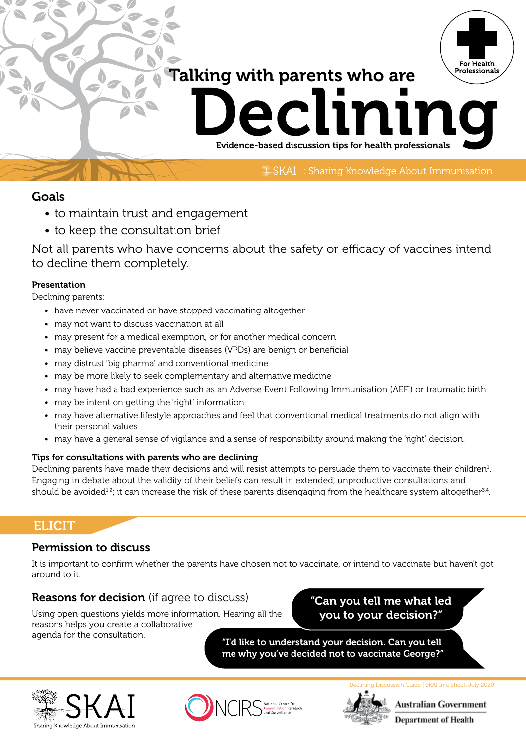# Talking with parents who are



Evidence-based discussion tips for health professionals

SKAI : Sharing Knowledge About Immunisation

# Goals

- to maintain trust and engagement
- to keep the consultation brief

Not all parents who have concerns about the safety or efficacy of vaccines intend to decline them completely.

#### Presentation

Declining parents:

- have never vaccinated or have stopped vaccinating altogether
- may not want to discuss vaccination at all
- may present for a medical exemption, or for another medical concern
- may believe vaccine preventable diseases (VPDs) are benign or beneficial
- may distrust 'big pharma' and conventional medicine
- may be more likely to seek complementary and alternative medicine
- may have had a bad experience such as an Adverse Event Following Immunisation (AEFI) or traumatic birth
- may be intent on getting the 'right' information
- may have alternative lifestyle approaches and feel that conventional medical treatments do not align with their personal values
- may have a general sense of vigilance and a sense of responsibility around making the 'right' decision.

#### Tips for consultations with parents who are declining

Declining parents have made their decisions and will resist attempts to persuade them to vaccinate their children<sup>1</sup>. Engaging in debate about the validity of their beliefs can result in extended, unproductive consultations and should be avoided<sup>12</sup>; it can increase the risk of these parents disengaging from the healthcare system altogether $34$ .

# **ELICIT**

# Permission to discuss

It is important to confirm whether the parents have chosen not to vaccinate, or intend to vaccinate but haven't got around to it.

# Reasons for decision (if agree to discuss)

Using open questions yields more information. Hearing all the reasons helps you create a collaborative agenda for the consultation.

# "Can you tell me what led you to your decision?"

"I'd like to understand your decision. Can you tell me why you've decided not to vaccinate George?"







**Australian Government** 

Declining Discussion Guide | SKAI Info sheet: July 2020

**Department of Health**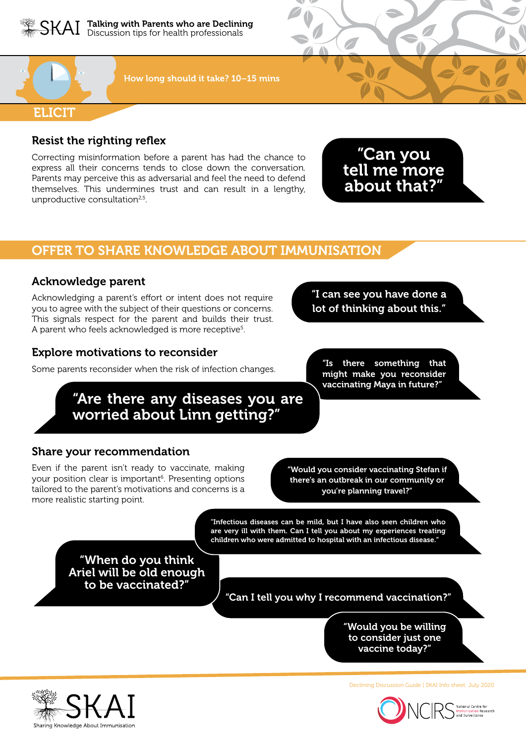



How long should it take? 10–15 mins

## Resist the righting reflex

Correcting misinformation before a parent has had the chance to express all their concerns tends to close down the conversation. Parents may perceive this as adversarial and feel the need to defend themselves. This undermines trust and can result in a lengthy, unproductive consultation<sup>2,5</sup>.

"Can you tell me more about that?"

# OFFER TO SHARE KNOWLEDGE ABOUT IMMUNISATION

## Acknowledge parent

Acknowledging a parent's effort or intent does not require you to agree with the subject of their questions or concerns. This signals respect for the parent and builds their trust. A parent who feels acknowledged is more receptive<sup>s</sup>.

#### Explore motivations to reconsider

Some parents reconsider when the risk of infection changes.

"Are there any diseases you are worried about Linn getting?"

Share your recommendation

Even if the parent isn't ready to vaccinate, making your position clear is important<sup>6</sup>. Presenting options tailored to the parent's motivations and concerns is a more realistic starting point.

"Would you consider vaccinating Stefan if there's an outbreak in our community or you're planning travel?"

"Infectious diseases can be mild, but I have also seen children who are very ill with them. Can I tell you about my experiences treating children who were admitted to hospital with an infectious disease."

"When do you think Ariel will be old enough to be vaccinated?"

"Can I tell you why I recommend vaccination?"

"Would you be willing to consider just one vaccine today?"



Declining Discussion Guide | SKAI Info sheet: July 2020



"Is there something that might make you reconsider vaccinating Maya in future?"

"I can see you have done a lot of thinking about this."